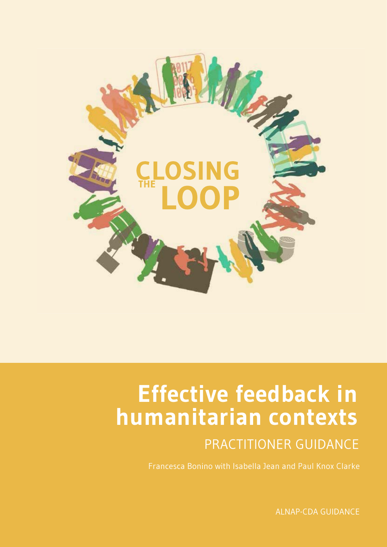

# **Effective feedback in humanitarian contexts**

### PRACTITIONER GUIDANCE

Francesca Bonino with Isabella Jean and Paul Knox Clarke

ALNAP-CDA GUIDANCE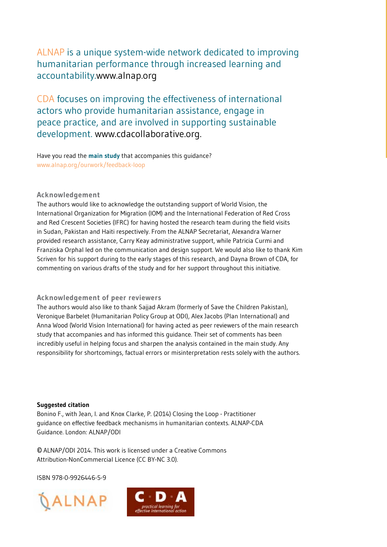#### ALNAP is a unique system-wide network dedicated to improving humanitarian performance through increased learning and accountability.[www.alnap.org](WWW.Alnap.org)

CDA focuses on improving the effectiveness of international actors who provide humanitarian assistance, engage in peace practice, and are involved in supporting sustainable development.<www.cdacollaborative.org>.

Have you read the **main study** that accompanies this guidance? www.alnap.org/ourwork/feedback-loop

#### **Acknowledgement**

The authors would like to acknowledge the outstanding support of World Vision, the International Organization for Migration (IOM) and the International Federation of Red Cross and Red Crescent Societies (IFRC) for having hosted the research team during the field visits in Sudan, Pakistan and Haiti respectively. From the ALNAP Secretariat, Alexandra Warner provided research assistance, Carry Keay administrative support, while Patricia Curmi and Franziska Orphal led on the communication and design support. We would also like to thank Kim Scriven for his support during to the early stages of this research, and Dayna Brown of CDA, for commenting on various drafts of the study and for her support throughout this initiative.

#### **Acknowledgement of peer reviewers**

The authors would also like to thank Sajjad Akram (formerly of Save the Children Pakistan), Veronique Barbelet (Humanitarian Policy Group at ODI), Alex Jacobs (Plan International) and Anna Wood (World Vision International) for having acted as peer reviewers of the main research study that accompanies and has informed this guidance. Their set of comments has been incredibly useful in helping focus and sharpen the analysis contained in the main study. Any responsibility for shortcomings, factual errors or misinterpretation rests solely with the authors.

#### **Suggested citation**

Bonino F., with Jean, I. and Knox Clarke, P. (2014) Closing the Loop - Practitioner guidance on effective feedback mechanisms in humanitarian contexts. ALNAP-CDA Guidance. London: ALNAP/ODI

© ALNAP/ODI 2014. This work is licensed under a Creative Commons Attribution-NonCommercial Licence (CC BY-NC 3.0).

ISBN 978-0-9926446-5-9



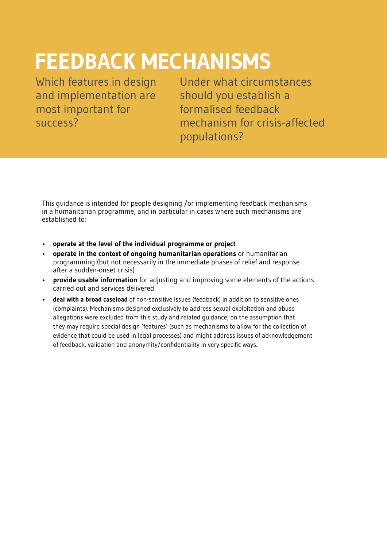# **FEEDBACK MECHANISMS**

Which features in design and implementation are most important for success?

Under what circumstances should you establish a formalised feedback mechanism for crisis-affected populations?

This guidance is intended for people designing /or implementing feedback mechanisms in a humanitarian programme, and in particular in cases where such mechanisms are established to:

- **operate at the level of the individual programme or project**
- **operate in the context of ongoing humanitarian operations** or humanitarian programming (but not necessarily in the immediate phases of relief and response after a sudden-onset crisis)
- **provide usable information** for adjusting and improving some elements of the actions carried out and services delivered
- **deal with a broad caseload** of non-sensitive issues (feedback) in addition to sensitive ones (complaints). Mechanisms designed exclusively to address sexual exploitation and abuse allegations were excluded from this study and related guidance, on the assumption that they may require special design 'features' (such as mechanisms to allow for the collection of evidence that could be used in legal processes) and might address issues of acknowledgement of feedback, validation and anonymity/confidentiality in very specific ways.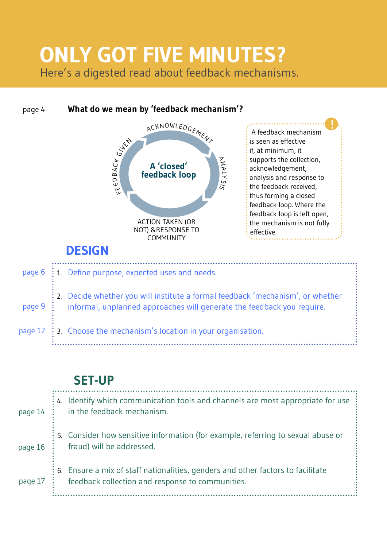### Here's a digested read about feedback mechanisms. **ONLY GOT FIVE MINUTES?**

#### 1. Define purpose, expected uses and needs. 2. Decide whether you will institute a formal feedback 'mechanism', or whether informal, unplanned approaches will generate the feedback you require. 3. Choose the mechanism's location in your organisation. **DESIGN** page 6 page 9 page 12 **A 'closed' feedback loop** ACKNOWLEDGEMENT A N ALY SIS EDDB<br>FEEDB  $\prec$  $\cup$ K **GILKN** ACTION TAKEN (OR NOT) &RESPONSE TO **COMMUNITY** page 4 **What do we mean by 'feedback mechanism'?** A feedback mechanism is seen as effective if, at minimum, it supports the collection, acknowledgement, analysis and response to the feedback received, thus forming a closed feedback loop. Where the feedback loop is left open, the mechanism is not fully effective. !

### **SET-UP**

| page 14 | Identify which communication tools and channels are most appropriate for use<br>in the feedback mechanism.                          |
|---------|-------------------------------------------------------------------------------------------------------------------------------------|
| page 16 | 5. Consider how sensitive information (for example, referring to sexual abuse or<br>fraud) will be addressed.                       |
| page 17 | 6. Ensure a mix of staff nationalities, genders and other factors to facilitate<br>feedback collection and response to communities. |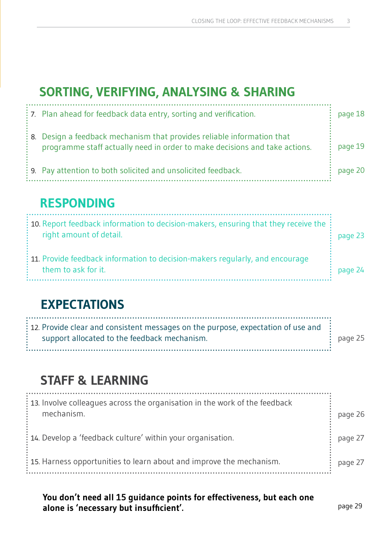### **SORTING, VERIFYING, ANALYSING & SHARING**

| $\frac{1}{2}$ . Plan ahead for feedback data entry, sorting and verification.                                                                          | page 18 |
|--------------------------------------------------------------------------------------------------------------------------------------------------------|---------|
| : 8. Design a feedback mechanism that provides reliable information that<br>programme staff actually need in order to make decisions and take actions. | page 19 |
| : 9. Pay attention to both solicited and unsolicited feedback.                                                                                         | page 20 |

### **RESPONDING**

| $\frac{1}{2}$ 10. Report feedback information to decision-makers, ensuring that they receive the $\frac{1}{2}$<br>right amount of detail. | page 23 |
|-------------------------------------------------------------------------------------------------------------------------------------------|---------|
| $\div$ 11. Provide feedback information to decision-makers regularly, and encourage<br>them to ask for it.                                | page 24 |

### **EXPECTATIONS**

| $\therefore$ 12. Provide clear and consistent messages on the purpose, expectation of use and $\therefore$<br>support allocated to the feedback mechanism. | $\div$ page 25 |
|------------------------------------------------------------------------------------------------------------------------------------------------------------|----------------|
|------------------------------------------------------------------------------------------------------------------------------------------------------------|----------------|

### **STAFF & LEARNING**

| $\frac{1}{2}$ 13. Involve colleagues across the organisation in the work of the feedback<br>mechanism. | page 26 |
|--------------------------------------------------------------------------------------------------------|---------|
| : 14. Develop a 'feedback culture' within your organisation.                                           | page 27 |
| : 15. Harness opportunities to learn about and improve the mechanism.                                  | page 27 |

**You don't need all 15 guidance points for effectiveness, but each one alone is 'necessary but insufficient'.** page 29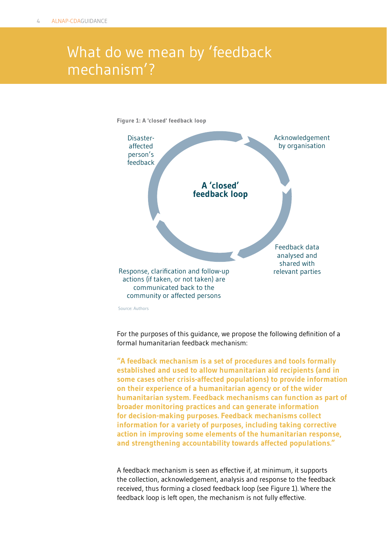### What do we mean by 'feedback mechanism'?



For the purposes of this guidance, we propose the following definition of a formal humanitarian feedback mechanism:

**"A feedback mechanism is a set of procedures and tools formally established and used to allow humanitarian aid recipients (and in some cases other crisis-affected populations) to provide information on their experience of a humanitarian agency or of the wider humanitarian system. Feedback mechanisms can function as part of broader monitoring practices and can generate information for decision-making purposes. Feedback mechanisms collect information for a variety of purposes, including taking corrective action in improving some elements of the humanitarian response, and strengthening accountability towards affected populations."**

A feedback mechanism is seen as effective if, at minimum, it supports the collection, acknowledgement, analysis and response to the feedback received, thus forming a closed feedback loop (see Figure 1). Where the feedback loop is left open, the mechanism is not fully effective.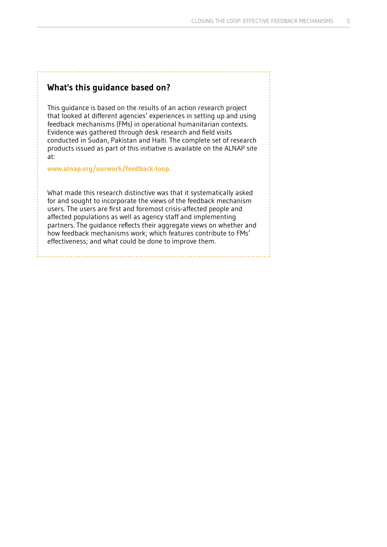#### **What's this guidance based on?**

This guidance is based on the results of an action research project that looked at different agencies' experiences in setting up and using feedback mechanisms (FMs) in operational humanitarian contexts. Evidence was gathered through desk research and field visits conducted in Sudan, Pakistan and Haiti. The complete set of research products issued as part of this initiative is available on the ALNAP site at:

**[www.alnap.org/ourwork/feedback-loop.](www.alnap.org/ourwork/feedback-loop)** 

What made this research distinctive was that it systematically asked for and sought to incorporate the views of the feedback mechanism users. The users are first and foremost crisis-affected people and affected populations as well as agency staff and implementing partners. The guidance reflects their aggregate views on whether and how feedback mechanisms work; which features contribute to FMs' effectiveness; and what could be done to improve them.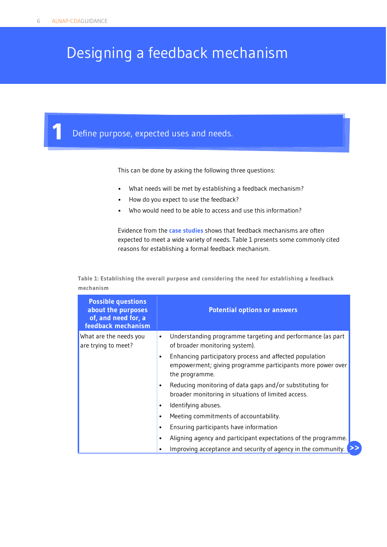### Designing a feedback mechanism

**1** Define purpose, expected uses and needs.

This can be done by asking the following three questions:

- What needs will be met by establishing a feedback mechanism?
- How do you expect to use the feedback?
- Who would need to be able to access and use this information?

Evidence from the **[case studies](www.alnap.org/ourwork/feedback-loop)** shows that feedback mechanisms are often expected to meet a wide variety of needs. Table 1 presents some commonly cited reasons for establishing a formal feedback mechanism.

**Table 1: Establishing the overall purpose and considering the need for establishing a feedback mechanism**

| <b>Possible questions</b><br>about the purposes<br>of, and need for, a<br>feedback mechanism | <b>Potential options or answers</b>                                                                                                                  |
|----------------------------------------------------------------------------------------------|------------------------------------------------------------------------------------------------------------------------------------------------------|
| What are the needs you<br>are trying to meet?                                                | Understanding programme targeting and performance (as part<br>٠<br>of broader monitoring system).                                                    |
|                                                                                              | Enhancing participatory process and affected population<br>$\bullet$<br>empowerment; giving programme participants more power over<br>the programme. |
|                                                                                              | Reducing monitoring of data gaps and/or substituting for<br>٠<br>broader monitoring in situations of limited access.                                 |
|                                                                                              | Identifying abuses.<br>٠                                                                                                                             |
|                                                                                              | Meeting commitments of accountability.<br>$\bullet$                                                                                                  |
|                                                                                              | Ensuring participants have information<br>٠                                                                                                          |
|                                                                                              | Aligning agency and participant expectations of the programme.<br>٠                                                                                  |
|                                                                                              | Improving acceptance and security of agency in the community.<br>٠                                                                                   |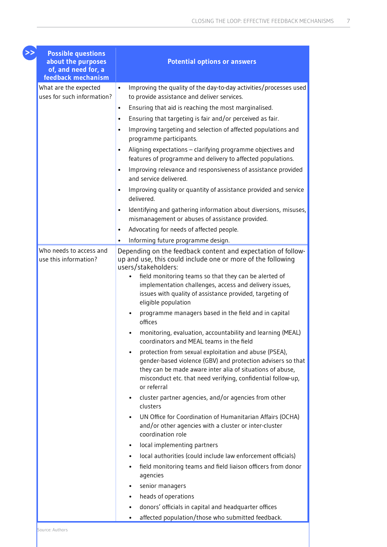| <b>Possible questions</b><br>about the purposes<br>of, and need for, a | <b>Potential options or answers</b>                                                                                                                                                                                                                                                                                                                                                                                   |
|------------------------------------------------------------------------|-----------------------------------------------------------------------------------------------------------------------------------------------------------------------------------------------------------------------------------------------------------------------------------------------------------------------------------------------------------------------------------------------------------------------|
| feedback mechanism                                                     |                                                                                                                                                                                                                                                                                                                                                                                                                       |
| What are the expected<br>uses for such information?                    | Improving the quality of the day-to-day activities/processes used<br>$\bullet$<br>to provide assistance and deliver services.                                                                                                                                                                                                                                                                                         |
|                                                                        | Ensuring that aid is reaching the most marginalised.<br>$\bullet$                                                                                                                                                                                                                                                                                                                                                     |
|                                                                        | Ensuring that targeting is fair and/or perceived as fair.<br>$\bullet$                                                                                                                                                                                                                                                                                                                                                |
|                                                                        | Improving targeting and selection of affected populations and<br>$\bullet$<br>programme participants.                                                                                                                                                                                                                                                                                                                 |
|                                                                        | Aligning expectations - clarifying programme objectives and<br>$\bullet$<br>features of programme and delivery to affected populations.                                                                                                                                                                                                                                                                               |
|                                                                        | Improving relevance and responsiveness of assistance provided<br>$\bullet$<br>and service delivered.                                                                                                                                                                                                                                                                                                                  |
|                                                                        | Improving quality or quantity of assistance provided and service<br>$\bullet$<br>delivered.                                                                                                                                                                                                                                                                                                                           |
|                                                                        | Identifying and gathering information about diversions, misuses,<br>$\bullet$<br>mismanagement or abuses of assistance provided.                                                                                                                                                                                                                                                                                      |
|                                                                        | Advocating for needs of affected people.<br>$\bullet$                                                                                                                                                                                                                                                                                                                                                                 |
|                                                                        | Informing future programme design.<br>$\bullet$                                                                                                                                                                                                                                                                                                                                                                       |
| Who needs to access and<br>use this information?                       | Depending on the feedback content and expectation of follow-<br>up and use, this could include one or more of the following<br>users/stakeholders:<br>field monitoring teams so that they can be alerted of<br>implementation challenges, access and delivery issues,<br>issues with quality of assistance provided, targeting of<br>eligible population<br>programme managers based in the field and in capital<br>٠ |
|                                                                        | offices<br>monitoring, evaluation, accountability and learning (MEAL)                                                                                                                                                                                                                                                                                                                                                 |
|                                                                        | coordinators and MEAL teams in the field<br>protection from sexual exploitation and abuse (PSEA),<br>gender-based violence (GBV) and protection advisers so that<br>they can be made aware inter alia of situations of abuse,<br>misconduct etc. that need verifying, confidential follow-up,<br>or referral                                                                                                          |
|                                                                        | cluster partner agencies, and/or agencies from other<br>clusters                                                                                                                                                                                                                                                                                                                                                      |
|                                                                        | UN Office for Coordination of Humanitarian Affairs (OCHA)<br>and/or other agencies with a cluster or inter-cluster<br>coordination role                                                                                                                                                                                                                                                                               |
|                                                                        | local implementing partners<br>$\bullet$                                                                                                                                                                                                                                                                                                                                                                              |
|                                                                        | local authorities (could include law enforcement officials)                                                                                                                                                                                                                                                                                                                                                           |
|                                                                        | field monitoring teams and field liaison officers from donor<br>agencies                                                                                                                                                                                                                                                                                                                                              |
|                                                                        | senior managers                                                                                                                                                                                                                                                                                                                                                                                                       |
|                                                                        | heads of operations<br>٠                                                                                                                                                                                                                                                                                                                                                                                              |
|                                                                        | donors' officials in capital and headquarter offices<br>٠                                                                                                                                                                                                                                                                                                                                                             |
|                                                                        | affected population/those who submitted feedback.                                                                                                                                                                                                                                                                                                                                                                     |

**>>**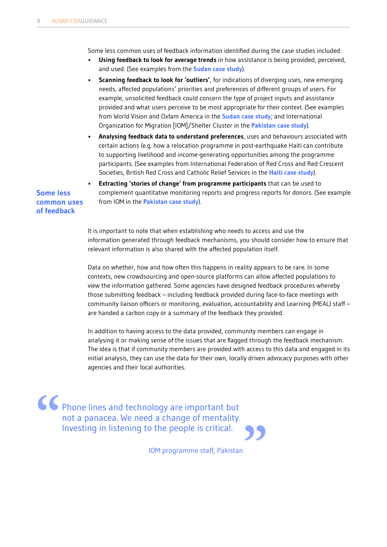Some less common uses of feedback information identified during the case studies included:

- **Using feedback to look for average trends** in how assistance is being provided, perceived, and used. (See examples from the **[Sudan case study](www.alnap.org/ourwork/feedback-loop)**).
- **Scanning feedback to look for 'outliers'**, for indications of diverging uses, new emerging needs, affected populations' priorities and preferences of different groups of users. For example, unsolicited feedback could concern the type of project inputs and assistance provided and what users perceive to be most appropriate for their context. (See examples from World Vision and Oxfam America in the **[Sudan case study](www.alnap.org/ourwork/feedback-loop)**; and International Organization for Migration [IOM]/Shelter Cluster in the **[Pakistan case study](www.alnap.org/ourwork/feedback-loop)**).
- **Analysing feedback data to understand preferences**, uses and behaviours associated with certain actions (e.g. how a relocation programme in post-earthquake Haiti can contribute to supporting livelihood and income-generating opportunities among the programme participants. (See examples from International Federation of Red Cross and Red Crescent Societies, British Red Cross and Catholic Relief Services in the **[Haiti case study](www.alnap.org/ourwork/feedback-loop)**).

**Some less common uses of feedback**

• **Extracting 'stories of change' from programme participants** that can be used to complement quantitative monitoring reports and progress reports for donors. (See example from IOM in the **[Pakistan case study](www.alnap.org/ourwork/feedback-loop)**).

It is important to note that when establishing who needs to access and use the information generated through feedback mechanisms, you should consider how to ensure that relevant information is also shared with the affected population itself.

Data on whether, how and how often this happens in reality appears to be rare. In some contexts, new crowdsourcing and open-source platforms can allow affected populations to view the information gathered. Some agencies have designed feedback procedures whereby those submitting feedback – including feedback provided during face-to-face meetings with community liaison officers or monitoring, evaluation, accountability and Learning (MEAL) staff – are handed a carbon copy or a summary of the feedback they provided.

In addition to having access to the data provided, community members can engage in analysing it or making sense of the issues that are flagged through the feedback mechanism. The idea is that if community members are provided with access to this data and engaged in its initial analysis, they can use the data for their own, locally driven advocacy purposes with other agencies and their local authorities.

Phone lines and technology are important but not a panacea. We need a change of mentality. **"** Investing in listening to the people is critical. **"**

IOM programme staff, Pakistan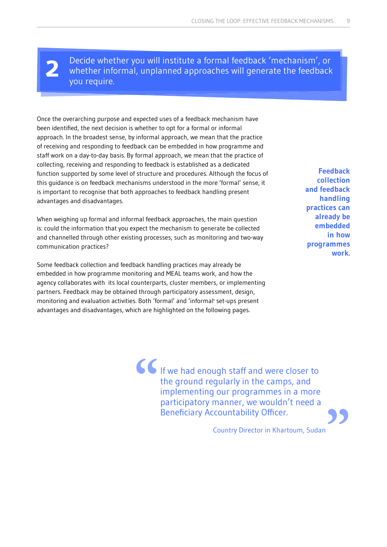**2**

Decide whether you will institute a formal feedback 'mechanism', or whether informal, unplanned approaches will generate the feedback you require.

Once the overarching purpose and expected uses of a feedback mechanism have been identified, the next decision is whether to opt for a formal or informal approach. In the broadest sense, by informal approach, we mean that the practice of receiving and responding to feedback can be embedded in how programme and staff work on a day-to-day basis. By formal approach, we mean that the practice of collecting, receiving and responding to feedback is established as a dedicated function supported by some level of structure and procedures. Although the focus of this guidance is on feedback mechanisms understood in the more 'formal' sense, it is important to recognise that both approaches to feedback handling present advantages and disadvantages.

When weighing up formal and informal feedback approaches, the main question is: could the information that you expect the mechanism to generate be collected and channelled through other existing processes, such as monitoring and two-way communication practices?

Some feedback collection and feedback handling practices may already be embedded in how programme monitoring and MEAL teams work, and how the agency collaborates with its local counterparts, cluster members, or implementing partners. Feedback may be obtained through participatory assessment, design, monitoring and evaluation activities. Both 'formal' and 'informal' set-ups present advantages and disadvantages, which are highlighted on the following pages.

**Feedback collection and feedback handling practices can already be embedded in how programmes work.**

If we had enough staff and were closer to the ground regularly in the camps, and implementing our programmes in a more participatory manner, we wouldn't need a Beneficiary Accountability Officer. **"**

Country Director in Khartoum, Sudan **"**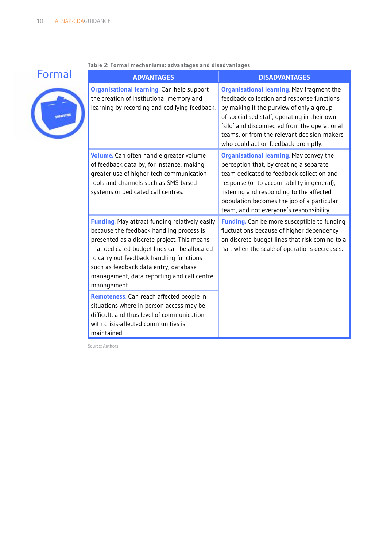

**Table 2: Formal mechanisms: advantages and disadvantages**

| <b>ADVANTAGES</b>                                                                                                                                                                                                                                                                                                                           | <b>DISADVANTAGES</b>                                                                                                                                                                                                                                                                                                        |
|---------------------------------------------------------------------------------------------------------------------------------------------------------------------------------------------------------------------------------------------------------------------------------------------------------------------------------------------|-----------------------------------------------------------------------------------------------------------------------------------------------------------------------------------------------------------------------------------------------------------------------------------------------------------------------------|
| <b>Organisational learning.</b> Can help support<br>the creation of institutional memory and<br>learning by recording and codifying feedback.                                                                                                                                                                                               | Organisational learning. May fragment the<br>feedback collection and response functions<br>by making it the purview of only a group<br>of specialised staff, operating in their own<br>'silo' and disconnected from the operational<br>teams, or from the relevant decision-makers<br>who could act on feedback promptly.   |
| Volume. Can often handle greater volume<br>of feedback data by, for instance, making<br>greater use of higher-tech communication<br>tools and channels such as SMS-based<br>systems or dedicated call centres.                                                                                                                              | <b>Organisational learning.</b> May convey the<br>perception that, by creating a separate<br>team dedicated to feedback collection and<br>response (or to accountability in general),<br>listening and responding to the affected<br>population becomes the job of a particular<br>team, and not everyone's responsibility. |
| Funding. May attract funding relatively easily<br>because the feedback handling process is<br>presented as a discrete project. This means<br>that dedicated budget lines can be allocated<br>to carry out feedback handling functions<br>such as feedback data entry, database<br>management, data reporting and call centre<br>management. | Funding. Can be more susceptible to funding<br>fluctuations because of higher dependency<br>on discrete budget lines that risk coming to a<br>halt when the scale of operations decreases.                                                                                                                                  |
| Remoteness. Can reach affected people in<br>situations where in-person access may be<br>difficult, and thus level of communication<br>with crisis-affected communities is<br>maintained.                                                                                                                                                    |                                                                                                                                                                                                                                                                                                                             |

Source: Authors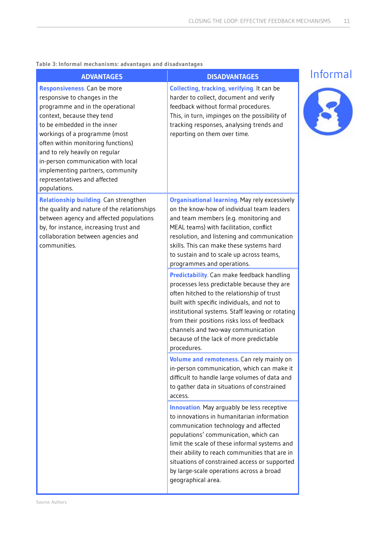#### **Table 3: Informal mechanisms: advantages and disadvantages**

| <b>ADVANTAGES</b>                                                                                                                                                                                                                                                                                                                                                                               | <b>DISADVANTAGES</b>                                                                                                                                                                                                                                                                                                                                                                                                                                                                                                                                                                                                                                                                                                                                            | Informal |
|-------------------------------------------------------------------------------------------------------------------------------------------------------------------------------------------------------------------------------------------------------------------------------------------------------------------------------------------------------------------------------------------------|-----------------------------------------------------------------------------------------------------------------------------------------------------------------------------------------------------------------------------------------------------------------------------------------------------------------------------------------------------------------------------------------------------------------------------------------------------------------------------------------------------------------------------------------------------------------------------------------------------------------------------------------------------------------------------------------------------------------------------------------------------------------|----------|
| Responsiveness. Can be more<br>responsive to changes in the<br>programme and in the operational<br>context, because they tend<br>to be embedded in the inner<br>workings of a programme (most<br>often within monitoring functions)<br>and to rely heavily on regular<br>in-person communication with local<br>implementing partners, community<br>representatives and affected<br>populations. | <b>Collecting, tracking, verifying. It can be</b><br>harder to collect, document and verify<br>feedback without formal procedures.<br>This, in turn, impinges on the possibility of<br>tracking responses, analysing trends and<br>reporting on them over time.                                                                                                                                                                                                                                                                                                                                                                                                                                                                                                 |          |
| <b>Relationship building.</b> Can strengthen<br>the quality and nature of the relationships<br>between agency and affected populations<br>by, for instance, increasing trust and<br>collaboration between agencies and<br>communities.                                                                                                                                                          | <b>Organisational learning.</b> May rely excessively<br>on the know-how of individual team leaders<br>and team members (e.g. monitoring and<br>MEAL teams) with facilitation, conflict<br>resolution, and listening and communication<br>skills. This can make these systems hard<br>to sustain and to scale up across teams,<br>programmes and operations.<br><b>Predictability.</b> Can make feedback handling<br>processes less predictable because they are<br>often hitched to the relationship of trust<br>built with specific individuals, and not to<br>institutional systems. Staff leaving or rotating<br>from their positions risks loss of feedback<br>channels and two-way communication<br>because of the lack of more predictable<br>procedures. |          |
|                                                                                                                                                                                                                                                                                                                                                                                                 | Volume and remoteness. Can rely mainly on<br>in-person communication, which can make it<br>difficult to handle large volumes of data and<br>to gather data in situations of constrained<br>access.                                                                                                                                                                                                                                                                                                                                                                                                                                                                                                                                                              |          |
|                                                                                                                                                                                                                                                                                                                                                                                                 | <b>Innovation</b> . May arguably be less receptive<br>to innovations in humanitarian information<br>communication technology and affected<br>populations' communication, which can<br>limit the scale of these informal systems and<br>their ability to reach communities that are in<br>situations of constrained access or supported<br>by large-scale operations across a broad<br>geographical area.                                                                                                                                                                                                                                                                                                                                                        |          |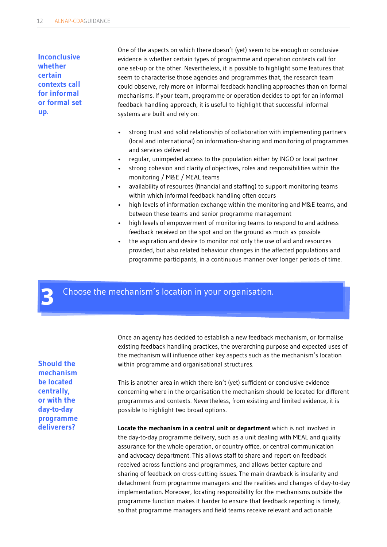**Inconclusive whether certain contexts call for informal or formal set up.**

One of the aspects on which there doesn't (yet) seem to be enough or conclusive evidence is whether certain types of programme and operation contexts call for one set-up or the other. Nevertheless, it is possible to highlight some features that seem to characterise those agencies and programmes that, the research team could observe, rely more on informal feedback handling approaches than on formal mechanisms. If your team, programme or operation decides to opt for an informal feedback handling approach, it is useful to highlight that successful informal systems are built and rely on:

- strong trust and solid relationship of collaboration with implementing partners (local and international) on information-sharing and monitoring of programmes and services delivered
- regular, unimpeded access to the population either by INGO or local partner
- strong cohesion and clarity of objectives, roles and responsibilities within the monitoring / M&E / MEAL teams
- availability of resources (financial and staffing) to support monitoring teams within which informal feedback handling often occurs
- high levels of information exchange within the monitoring and M&E teams, and between these teams and senior programme management
- high levels of empowerment of monitoring teams to respond to and address feedback received on the spot and on the ground as much as possible
- the aspiration and desire to monitor not only the use of aid and resources provided, but also related behaviour changes in the affected populations and programme participants, in a continuous manner over longer periods of time.

Choose the mechanism's location in your organisation. **3**

**Should the mechanism be located centrally, or with the day-to-day programme deliverers?**

Once an agency has decided to establish a new feedback mechanism, or formalise existing feedback handling practices, the overarching purpose and expected uses of the mechanism will influence other key aspects such as the mechanism's location within programme and organisational structures.

This is another area in which there isn't (yet) sufficient or conclusive evidence concerning where in the organisation the mechanism should be located for different programmes and contexts. Nevertheless, from existing and limited evidence, it is possible to highlight two broad options.

**Locate the mechanism in a central unit or department** which is not involved in the day-to-day programme delivery, such as a unit dealing with MEAL and quality assurance for the whole operation, or country office, or central communication and advocacy department. This allows staff to share and report on feedback received across functions and programmes, and allows better capture and sharing of feedback on cross-cutting issues. The main drawback is insularity and detachment from programme managers and the realities and changes of day-to-day implementation. Moreover, locating responsibility for the mechanisms outside the programme function makes it harder to ensure that feedback reporting is timely, so that programme managers and field teams receive relevant and actionable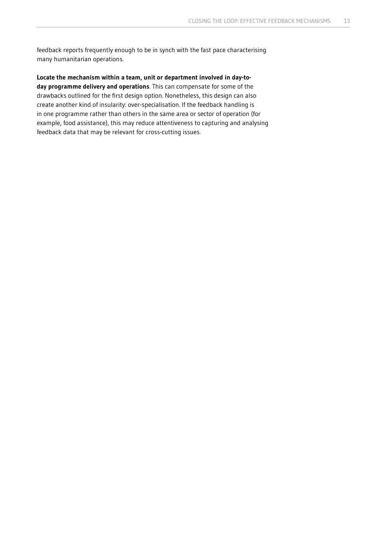feedback reports frequently enough to be in synch with the fast pace characterising many humanitarian operations.

**Locate the mechanism within a team, unit or department involved in day-today programme delivery and operations**. This can compensate for some of the drawbacks outlined for the first design option. Nonetheless, this design can also create another kind of insularity: over-specialisation. If the feedback handling is in one programme rather than others in the same area or sector of operation (for example, food assistance), this may reduce attentiveness to capturing and analysing feedback data that may be relevant for cross-cutting issues.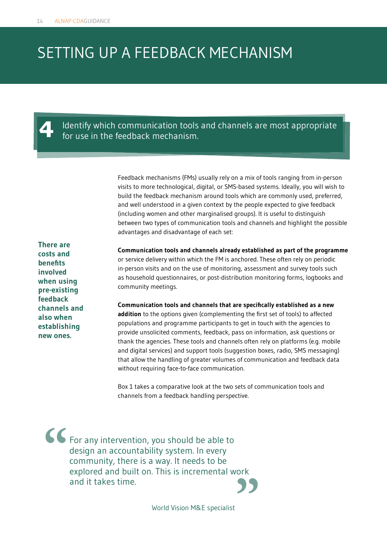### SETTING UP A FEEDBACK MECHANISM

Identify which communication tools and channels are most appropriate **4** for use in the feedback mechanism.

Feedback mechanisms (FMs) usually rely on a mix of tools ranging from in-person visits to more technological, digital, or SMS-based systems. Ideally, you will wish to build the feedback mechanism around tools which are commonly used, preferred, and well understood in a given context by the people expected to give feedback (including women and other marginalised groups). It is useful to distinguish between two types of communication tools and channels and highlight the possible advantages and disadvantage of each set:

**There are costs and benefits involved when using pre-existing feedback channels and also when establishing new ones.** 

**Communication tools and channels already established as part of the programme**  or service delivery within which the FM is anchored. These often rely on periodic in-person visits and on the use of monitoring, assessment and survey tools such as household questionnaires, or post-distribution monitoring forms, logbooks and community meetings.

**Communication tools and channels that are specifically established as a new addition** to the options given (complementing the first set of tools) to affected populations and programme participants to get in touch with the agencies to provide unsolicited comments, feedback, pass on information, ask questions or thank the agencies. These tools and channels often rely on platforms (e.g. mobile and digital services) and support tools (suggestion boxes, radio, SMS messaging) that allow the handling of greater volumes of communication and feedback data without requiring face-to-face communication.

Box 1 takes a comparative look at the two sets of communication tools and channels from a feedback handling perspective.

For any intervention, you should be able to design an accountability system. In every community, there is a way. It needs to be explored and built on. This is incremental work and it takes time. **" "**

World Vision M&E specialist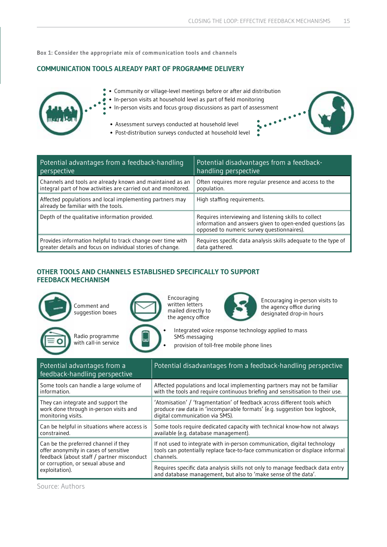ę.  $\ddot{\bullet}$ 

**Box 1: Consider the appropriate mix of communication tools and channels**

 $\bullet$ 

#### **COMMUNICATION TOOLS ALREADY PART OF PROGRAMME DELIVERY**



- Community or village-level meetings before or after aid distribution
- In-person visits at household level as part of field monitoring  $\bullet$
- In-person visits and focus group discussions as part of assessment
	- Assessment surveys conducted at household level
	- Post-distribution surveys conducted at household level



| Potential advantages from a feedback-handling                                                   | Potential disadvantages from a feedback-                                                                                                                         |
|-------------------------------------------------------------------------------------------------|------------------------------------------------------------------------------------------------------------------------------------------------------------------|
| perspective                                                                                     | handling perspective                                                                                                                                             |
| Channels and tools are already known and maintained as an                                       | Often requires more regular presence and access to the                                                                                                           |
| integral part of how activities are carried out and monitored.                                  | population.                                                                                                                                                      |
| Affected populations and local implementing partners may<br>already be familiar with the tools. | High staffing requirements.                                                                                                                                      |
| Depth of the qualitative information provided.                                                  | Requires interviewing and listening skills to collect<br>information and answers given to open-ended questions (as<br>opposed to numeric survey questionnaires). |
| Provides information helpful to track change over time with                                     | Requires specific data analysis skills adequate to the type of                                                                                                   |
| greater details and focus on individual stories of change.                                      | data gathered.                                                                                                                                                   |

#### **OTHER TOOLS AND CHANNELS ESTABLISHED SPECIFICALLY TO SUPPORT FEEDBACK MECHANISM**



Encouraging written letters mailed directly to the agency office



Encouraging in-person visits to the agency office during designated drop-in hours

• Integrated voice response technology applied to mass SMS messaging

provision of toll-free mobile phone lines

| Potential advantages from a<br>feedback-handling perspective | Potential disadvantages from a feedback-handling perspective                   |
|--------------------------------------------------------------|--------------------------------------------------------------------------------|
| Some tools can handle a large volume of                      | Affected populations and local implementing partners may not be familiar       |
| information.                                                 | with the tools and require continuous briefing and sensitisation to their use. |
| They can integrate and support the                           | 'Atomisation' / 'fragmentation' of feedback across different tools which       |
| work done through in-person visits and                       | produce raw data in 'incomparable formats' (e.g. suggestion box logbook,       |
| monitoring visits.                                           | digital communication via SMS).                                                |
| Can be helpful in situations where access is                 | Some tools require dedicated capacity with technical know-how not always       |
| constrained.                                                 | available (e.g. database management).                                          |
| Can be the preferred channel if they                         | If not used to integrate with in-person communication, digital technology      |
| offer anonymity in cases of sensitive                        | tools can potentially replace face-to-face communication or displace informal  |
| feedback (about staff / partner misconduct                   | channels.                                                                      |
| or corruption, or sexual abuse and                           | Requires specific data analysis skills not only to manage feedback data entry  |
| exploitation).                                               | and database management, but also to 'make sense of the data'.                 |

Source: Authors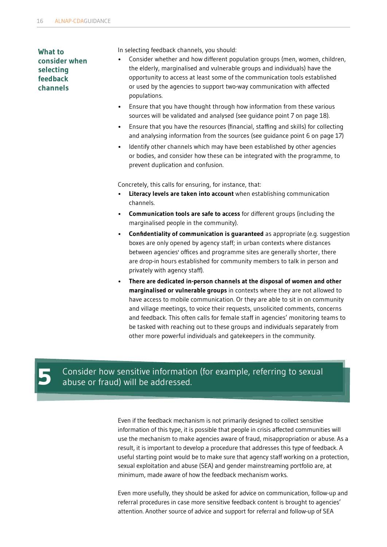**What to consider when selecting feedback channels**

In selecting feedback channels, you should:

- Consider whether and how different population groups (men, women, children, the elderly, marginalised and vulnerable groups and individuals) have the opportunity to access at least some of the communication tools established or used by the agencies to support two-way communication with affected populations.
- Ensure that you have thought through how information from these various sources will be validated and analysed (see guidance point 7 on page 18).
- Ensure that you have the resources (financial, staffing and skills) for collecting and analysing information from the sources (see guidance point 6 on page 17)
- Identify other channels which may have been established by other agencies or bodies, and consider how these can be integrated with the programme, to prevent duplication and confusion.

Concretely, this calls for ensuring, for instance, that:

- **Literacy levels are taken into account** when establishing communication channels.
- **Communication tools are safe to access** for different groups (including the marginalised people in the community).
- **Confidentiality of communication is guaranteed** as appropriate (e.g. suggestion boxes are only opened by agency staff; in urban contexts where distances between agencies' offices and programme sites are generally shorter, there are drop-in hours established for community members to talk in person and privately with agency staff).
- **There are dedicated in-person channels at the disposal of women and other marginalised or vulnerable groups** in contexts where they are not allowed to have access to mobile communication. Or they are able to sit in on community and village meetings, to voice their requests, unsolicited comments, concerns and feedback. This often calls for female staff in agencies' monitoring teams to be tasked with reaching out to these groups and individuals separately from other more powerful individuals and gatekeepers in the community.

Consider how sensitive information (for example, referring to sexual abuse or fraud) will be addressed.

Even if the feedback mechanism is not primarily designed to collect sensitive information of this type, it is possible that people in crisis affected communities will use the mechanism to make agencies aware of fraud, misappropriation or abuse. As a result, it is important to develop a procedure that addresses this type of feedback. A useful starting point would be to make sure that agency staff working on a protection, sexual exploitation and abuse (SEA) and gender mainstreaming portfolio are, at minimum, made aware of how the feedback mechanism works.

Even more usefully, they should be asked for advice on communication, follow-up and referral procedures in case more sensitive feedback content is brought to agencies' attention. Another source of advice and support for referral and follow-up of SEA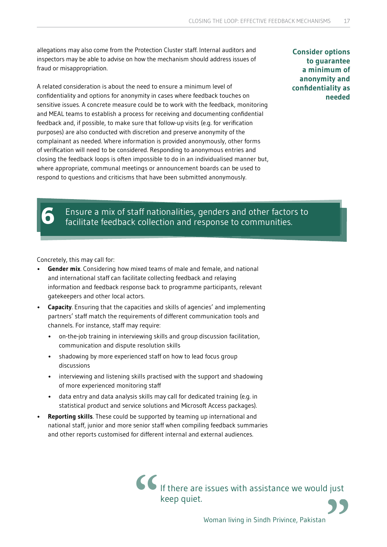allegations may also come from the Protection Cluster staff. Internal auditors and inspectors may be able to advise on how the mechanism should address issues of fraud or misappropriation.

A related consideration is about the need to ensure a minimum level of confidentiality and options for anonymity in cases where feedback touches on sensitive issues. A concrete measure could be to work with the feedback, monitoring and MEAL teams to establish a process for receiving and documenting confidential feedback and, if possible, to make sure that follow-up visits (e.g. for verification purposes) are also conducted with discretion and preserve anonymity of the complainant as needed. Where information is provided anonymously, other forms of verification will need to be considered. Responding to anonymous entries and closing the feedback loops is often impossible to do in an individualised manner but, where appropriate, communal meetings or announcement boards can be used to respond to questions and criticisms that have been submitted anonymously.

**Consider options to guarantee a minimum of anonymity and confidentiality as needed**

# Ensure a mix of staff nationalities, genders and other factors to **6** facilitate feedback collection and response to communities.

Concretely, this may call for:

- **Gender mix**. Considering how mixed teams of male and female, and national and international staff can facilitate collecting feedback and relaying information and feedback response back to programme participants, relevant gatekeepers and other local actors.
- **Capacity**. Ensuring that the capacities and skills of agencies' and implementing partners' staff match the requirements of different communication tools and channels. For instance, staff may require:
	- on-the-job training in interviewing skills and group discussion facilitation, communication and dispute resolution skills
	- shadowing by more experienced staff on how to lead focus group discussions
	- interviewing and listening skills practised with the support and shadowing of more experienced monitoring staff
	- data entry and data analysis skills may call for dedicated training (e.g. in statistical product and service solutions and Microsoft Access packages).
- **Reporting skills**. These could be supported by teaming up international and national staff, junior and more senior staff when compiling feedback summaries and other reports customised for different internal and external audiences.

If there are issues with assistance we would just **" keep quiet.**<br> **"** Woman living in Sindh Privince, Pakistan<br> **Privince**, Pakistan

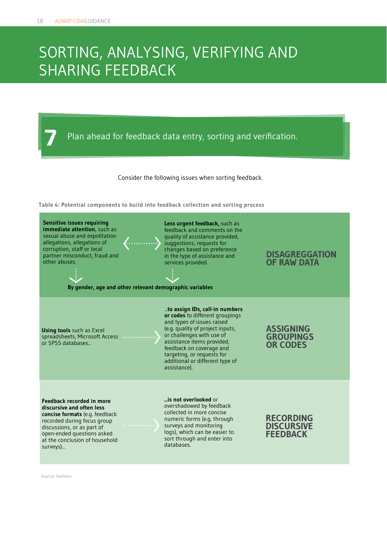### SORTING, ANALYSING, VERIFYING AND SHARING FEEDBACK

**7** Plan ahead for feedback data entry, sorting and verification.

Consider the following issues when sorting feedback.

**Table 4: Potential components to build into feedback collection and sorting process**



Source: Authors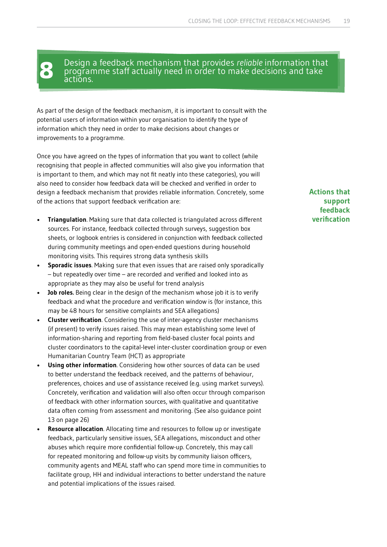**8** Design a feedback mechanism that provides *reliable* information that programme staff actually need in order to make decisions and take actions.

As part of the design of the feedback mechanism, it is important to consult with the potential users of information within your organisation to identify the type of information which they need in order to make decisions about changes or improvements to a programme.

Once you have agreed on the types of information that you want to collect (while recognising that people in affected communities will also give you information that is important to them, and which may not fit neatly into these categories), you will also need to consider how feedback data will be checked and verified in order to design a feedback mechanism that provides reliable information. Concretely, some of the actions that support feedback verification are:

- **Triangulation**. Making sure that data collected is triangulated across different sources. For instance, feedback collected through surveys, suggestion box sheets, or logbook entries is considered in conjunction with feedback collected during community meetings and open-ended questions during household monitoring visits. This requires strong data synthesis skills
- **Sporadic issues**. Making sure that even issues that are raised only sporadically – but repeatedly over time – are recorded and verified and looked into as appropriate as they may also be useful for trend analysis
- **Job roles.** Being clear in the design of the mechanism whose job it is to verify feedback and what the procedure and verification window is (for instance, this may be 48 hours for sensitive complaints and SEA allegations)
- **Cluster verification**. Considering the use of inter-agency cluster mechanisms (if present) to verify issues raised. This may mean establishing some level of information-sharing and reporting from field-based cluster focal points and cluster coordinators to the capital-level inter-cluster coordination group or even Humanitarian Country Team (HCT) as appropriate
- **Using other information**. Considering how other sources of data can be used to better understand the feedback received, and the patterns of behaviour, preferences, choices and use of assistance received (e.g. using market surveys). Concretely, verification and validation will also often occur through comparison of feedback with other information sources, with qualitative and quantitative data often coming from assessment and monitoring. (See also guidance point 13 on page 26)
- **Resource allocation**. Allocating time and resources to follow up or investigate feedback, particularly sensitive issues, SEA allegations, misconduct and other abuses which require more confidential follow-up. Concretely, this may call for repeated monitoring and follow-up visits by community liaison officers, community agents and MEAL staff who can spend more time in communities to facilitate group, HH and individual interactions to better understand the nature and potential implications of the issues raised.

#### **Actions that support feedback verification**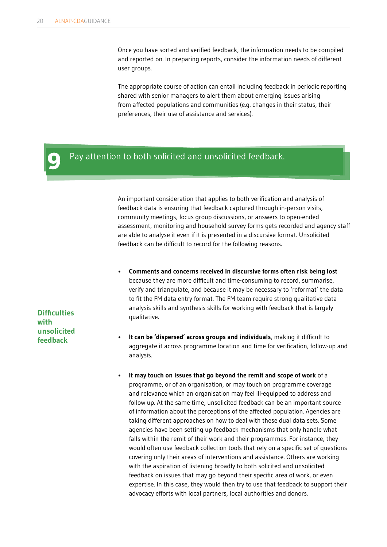Once you have sorted and verified feedback, the information needs to be compiled and reported on. In preparing reports, consider the information needs of different user groups.

The appropriate course of action can entail including feedback in periodic reporting shared with senior managers to alert them about emerging issues arising from affected populations and communities (e.g. changes in their status, their preferences, their use of assistance and services).

#### Pay attention to both solicited and unsolicited feedback. **9**

An important consideration that applies to both verification and analysis of feedback data is ensuring that feedback captured through in-person visits, community meetings, focus group discussions, or answers to open-ended assessment, monitoring and household survey forms gets recorded and agency staff are able to analyse it even if it is presented in a discursive format. Unsolicited feedback can be difficult to record for the following reasons.

- **Comments and concerns received in discursive forms often risk being lost** because they are more difficult and time-consuming to record, summarise, verify and triangulate, and because it may be necessary to 'reformat' the data to fit the FM data entry format. The FM team require strong qualitative data analysis skills and synthesis skills for working with feedback that is largely qualitative.
- **It can be 'dispersed' across groups and individuals**, making it difficult to aggregate it across programme location and time for verification, follow-up and analysis.
- **It may touch on issues that go beyond the remit and scope of work** of a programme, or of an organisation, or may touch on programme coverage and relevance which an organisation may feel ill-equipped to address and follow up. At the same time, unsolicited feedback can be an important source of information about the perceptions of the affected population. Agencies are taking different approaches on how to deal with these dual data sets. Some agencies have been setting up feedback mechanisms that only handle what falls within the remit of their work and their programmes. For instance, they would often use feedback collection tools that rely on a specific set of questions covering only their areas of interventions and assistance. Others are working with the aspiration of listening broadly to both solicited and unsolicited feedback on issues that may go beyond their specific area of work, or even expertise. In this case, they would then try to use that feedback to support their advocacy efforts with local partners, local authorities and donors.

**Difficulties with unsolicited feedback**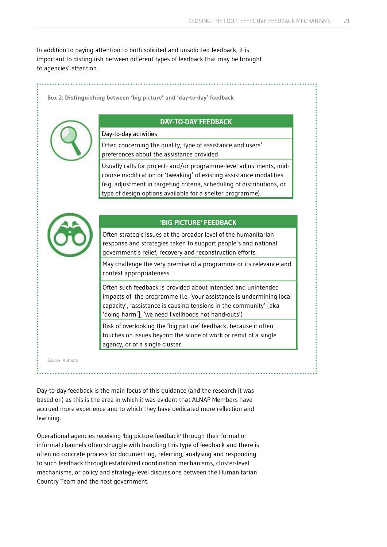In addition to paying attention to both solicited and unsolicited feedback, it is important to distinguish between different types of feedback that may be brought to agencies' attention.

**Box 2: Distinguishing between 'big picture' and 'day-to-day' feedback**



#### **DAY-TO-DAY FEEDBACK**

#### Day-to-day activities

Often concerning the quality, type of assistance and users' preferences about the assistance provided

Usually calls for project- and/or programme-level adjustments, midcourse modification or 'tweaking' of existing assistance modalities (e.g. adjustment in targeting criteria, scheduling of distributions, or type of design options available for a shelter programme).



#### **'BIG PICTURE' FEEDBACK**

Often strategic issues at the broader level of the humanitarian response and strategies taken to support people's and national government's relief, recovery and reconstruction efforts.

May challenge the very premise of a programme or its relevance and context appropriateness

Often such feedback is provided about intended and unintended impacts of the programme (i.e. 'your assistance is undermining local capacity', 'assistance is causing tensions in the community'  $[aka]$ 'doing harm'], 'we need livelihoods not hand-outs')

Risk of overlooking the 'big picture' feedback, because it often touches on issues beyond the scope of work or remit of a single agency, or of a single cluster.

Source: Authors

Day-to-day feedback is the main focus of this guidance (and the research it was based on) as this is the area in which it was evident that ALNAP Members have accrued more experience and to which they have dedicated more reflection and learning.

Operational agencies receiving 'big picture feedback' through their formal or informal channels often struggle with handling this type of feedback and there is often no concrete process for documenting, referring, analysing and responding to such feedback through established coordination mechanisms, cluster-level mechanisms, or policy and strategy-level discussions between the Humanitarian Country Team and the host government.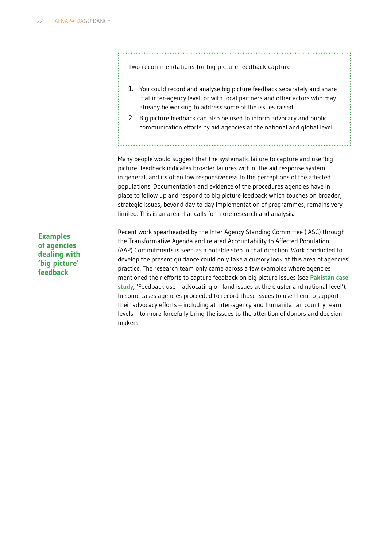Two recommendations for big picture feedback capture

- 1. You could record and analyse big picture feedback separately and share it at inter-agency level, or with local partners and other actors who may already be working to address some of the issues raised.
- 2. Big picture feedback can also be used to inform advocacy and public communication efforts by aid agencies at the national and global level.

Many people would suggest that the systematic failure to capture and use 'big picture' feedback indicates broader failures within the aid response system in general, and its often low responsiveness to the perceptions of the affected populations. Documentation and evidence of the procedures agencies have in place to follow up and respond to big picture feedback which touches on broader, strategic issues, beyond day-to-day implementation of programmes, remains very limited. This is an area that calls for more research and analysis.

**Examples of agencies dealing with 'big picture' feedback**

Recent work spearheaded by the Inter Agency Standing Committee (IASC) through the Transformative Agenda and related Accountability to Affected Population (AAP) Commitments is seen as a notable step in that direction. Work conducted to develop the present guidance could only take a cursory look at this area of agencies' practice. The research team only came across a few examples where agencies mentioned their efforts to capture feedback on big picture issues (see **Pakistan case study**, 'Feedback use – advocating on land issues at the cluster and national level'). In some cases agencies proceeded to record those issues to use them to support their advocacy efforts – including at inter-agency and humanitarian country team levels – to more forcefully bring the issues to the attention of donors and decisionmakers.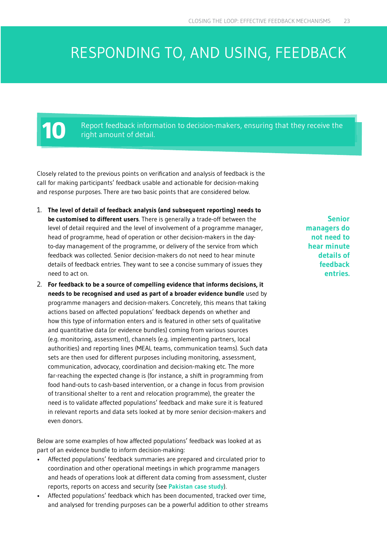### RESPONDING TO, AND USING, FEEDBACK

Report feedback information to decision-makers, ensuring that they receive the right amount of detail.

Closely related to the previous points on verification and analysis of feedback is the call for making participants' feedback usable and actionable for decision-making and response purposes. There are two basic points that are considered below.

- 1. **The level of detail of feedback analysis (and subsequent reporting) needs to be customised to different users**. There is generally a trade-off between the level of detail required and the level of involvement of a programme manager, head of programme, head of operation or other decision-makers in the dayto-day management of the programme, or delivery of the service from which feedback was collected. Senior decision-makers do not need to hear minute details of feedback entries. They want to see a concise summary of issues they need to act on.
- 2. **For feedback to be a source of compelling evidence that informs decisions, it needs to be recognised and used as part of a broader evidence bundle** used by programme managers and decision-makers. Concretely, this means that taking actions based on affected populations' feedback depends on whether and how this type of information enters and is featured in other sets of qualitative and quantitative data (or evidence bundles) coming from various sources (e.g. monitoring, assessment), channels (e.g. implementing partners, local authorities) and reporting lines (MEAL teams, communication teams). Such data sets are then used for different purposes including monitoring, assessment, communication, advocacy, coordination and decision-making etc. The more far-reaching the expected change is (for instance, a shift in programming from food hand-outs to cash-based intervention, or a change in focus from provision of transitional shelter to a rent and relocation programme), the greater the need is to validate affected populations' feedback and make sure it is featured in relevant reports and data sets looked at by more senior decision-makers and even donors.

Below are some examples of how affected populations' feedback was looked at as part of an evidence bundle to inform decision-making:

- Affected populations' feedback summaries are prepared and circulated prior to coordination and other operational meetings in which programme managers and heads of operations look at different data coming from assessment, cluster reports, reports on access and security (see **[Pakistan case study](www.alnap.org/ourwork/feedback-loop)**).
- Affected populations' feedback which has been documented, tracked over time, and analysed for trending purposes can be a powerful addition to other streams

**Senior managers do not need to hear minute details of feedback entries.**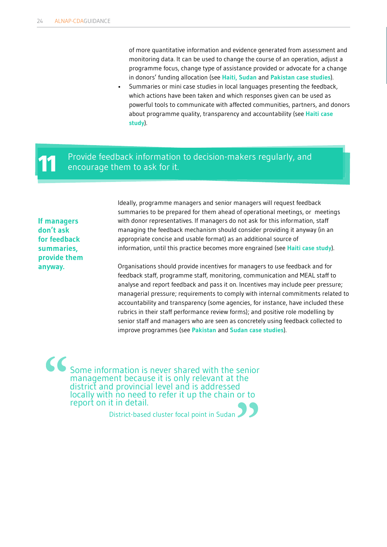of more quantitative information and evidence generated from assessment and monitoring data. It can be used to change the course of an operation, adjust a programme focus, change type of assistance provided or advocate for a change in donors' funding allocation (see **Haiti, [Sudan](www.alnap.org/ourwork/feedback-loop)** and **[Pakistan case studies](www.alnap.org/ourwork/feedback-loop)**). • Summaries or mini case studies in local languages presenting the feedback, which actions have been taken and which responses given can be used as powerful tools to communicate with affected communities, partners, and donors about programme quality, transparency and accountability (see **[Haiti case](www.alnap.org/ourwork/feedback-loop)  [study](www.alnap.org/ourwork/feedback-loop)**).

# Provide feedback information to decision-makers regularly, and encourage them to ask for it.

**If managers don't ask for feedback summaries, provide them anyway.**

Ideally, programme managers and senior managers will request feedback summaries to be prepared for them ahead of operational meetings, or meetings with donor representatives. If managers do not ask for this information, staff managing the feedback mechanism should consider providing it anyway (in an appropriate concise and usable format) as an additional source of information, until this practice becomes more engrained (see **[Haiti case study](www.alnap.org/ourwork/feedback-loop)**).

Organisations should provide incentives for managers to use feedback and for feedback staff, programme staff, monitoring, communication and MEAL staff to analyse and report feedback and pass it on. Incentives may include peer pressure; managerial pressure; requirements to comply with internal commitments related to accountability and transparency (some agencies, for instance, have included these rubrics in their staff performance review forms); and positive role modelling by senior staff and managers who are seen as concretely using feedback collected to improve programmes (see **[Pakistan](www.alnap.org/ourwork/feedback-loop)** and **[Sudan case studies](www.alnap.org/ourwork/feedback-loop)**).

Some information is never shared with the senior management because it is only relevant at the district and provincial level and is addressed locally with no need to refer it up the chain or to report on it in detail. **" "**

District-based cluster focal point in Sudan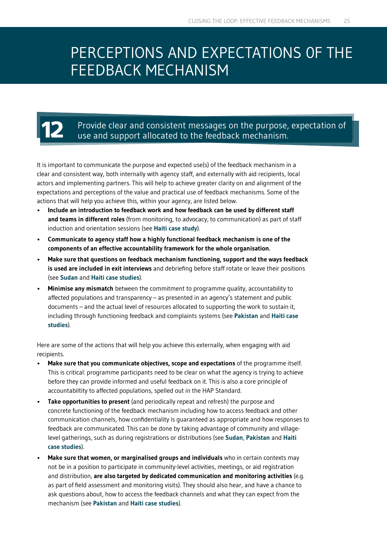### PERCEPTIONS AND EXPECTATIONS 0F THE FEEDBACK MECHANISM

# Provide clear and consistent messages on the purpose, expectation of use and support allocated to the feedback mechanism.

It is important to communicate the purpose and expected use(s) of the feedback mechanism in a clear and consistent way, both internally with agency staff, and externally with aid recipients, local actors and implementing partners. This will help to achieve greater clarity on and alignment of the expectations and perceptions of the value and practical use of feedback mechanisms. Some of the actions that will help you achieve this, within your agency, are listed below.

- **Include an introduction to feedback work and how feedback can be used by different staff and teams in different roles** (from monitoring, to advocacy, to communication) as part of staff induction and orientation sessions (see **[Haiti case study](www.alnap.org/ourwork/feedback-loop)**).
- **Communicate to agency staff how a highly functional feedback mechanism is one of the components of an effective accountability framework for the whole organisation.**
- **Make sure that questions on feedback mechanism functioning, support and the ways feedback is used are included in exit interviews** and debriefing before staff rotate or leave their positions (see **[Sudan](www.alnap.org/ourwork/feedback-loop)** and **[Haiti case studies](www.alnap.org/ourwork/feedback-loop)**).
- **Minimise any mismatch** between the commitment to programme quality, accountability to affected populations and transparency – as presented in an agency's statement and public documents – and the actual level of resources allocated to supporting the work to sustain it, including through functioning feedback and complaints systems (see **[Pakistan](www.alnap.org/ourwork/feedback-loop)** and **[Haiti case](www.alnap.org/ourwork/feedback-loop)  [studies](www.alnap.org/ourwork/feedback-loop)**).

Here are some of the actions that will help you achieve this externally, when engaging with aid recipients.

- Make sure that you communicate objectives, scope and expectations of the programme itself. This is critical: programme participants need to be clear on what the agency is trying to achieve before they can provide informed and useful feedback on it. This is also a core principle of accountabiltity to affected populations, spelled out in the HAP Standard.
- **Take opportunities to present** (and periodically repeat and refresh) the purpose and concrete functioning of the feedback mechanism including how to access feedback and other communication channels, how confidentiality is guaranteed as appropriate and how responses to feedback are communicated. This can be done by taking advantage of community and villagelevel gatherings, such as during registrations or distributions (see **Sudan**, **[Pakistan](www.alnap.org/ourwork/feedback-loop)** and **Haiti [case studies](www.alnap.org/ourwork/feedback-loop)**).
- **Make sure that women, or marginalised groups and individuals** who in certain contexts may not be in a position to participate in community-level activities, meetings, or aid registration and distribution, **are also targeted by dedicated communication and monitoring activities** (e.g. as part of field assessment and monitoring visits). They should also hear, and have a chance to ask questions about, how to access the feedback channels and what they can expect from the mechanism (see **Pakistan** and **[Haiti case studies](www.alnap.org/ourwork/feedback-loop)**).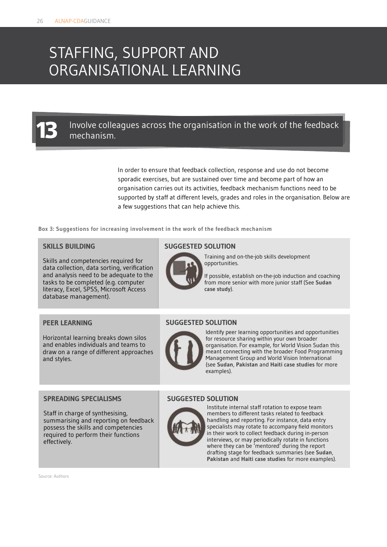### STAFFING, SUPPORT AND ORGANISATIONAL LEARNING

## Involve colleagues across the organisation in the work of the feedback **13** mechanism.

In order to ensure that feedback collection, response and use do not become sporadic exercises, but are sustained over time and become part of how an organisation carries out its activities, feedback mechanism functions need to be supported by staff at different levels, grades and roles in the organisation. Below are a few suggestions that can help achieve this.

**Box 3: Suggestions for increasing involvement in the work of the feedback mechanism**

#### **SKILLS BUILDING**

Skills and competencies required for data collection, data sorting, verification and analysis need to be adequate to the tasks to be completed (e.g. computer literacy, Excel, SPSS, Microsoft Access database management).

#### **PEER LEARNING**

Horizontal learning breaks down silos and enables individuals and teams to draw on a range of different approaches and styles.

#### **SUGGESTED SOLUTION**



Training and on-the-job skills development opportunities.

If possible, establish on-the-job induction and coaching from more senior with more junior staff (See **Sudan case study**).

#### **SUGGESTED SOLUTION**



Identify peer learning opportunities and opportunities for resource sharing within your own broader organisation. For example, for World Vision Sudan this meant connecting with the broader Food Programming Management Group and World Vision International (see **Sudan**, **Pakistan** and **Haiti case studies** for more examples).

#### **SPREADING SPECIALISMS**

Staff in charge of synthesising, summarising and reporting on feedback possess the skills and competencies required to perform their functions effectively.

**SUGGESTED SOLUTION**



Institute internal staff rotation to expose team members to different tasks related to feedback handling and reporting. For instance, data entry specialists may rotate to accompany field monitors in their work to collect feedback during in-person interviews, or may periodically rotate in functions where they can be 'mentored' during the report drafting stage for feedback summaries (see **Sudan**, **Pakistan** and **Haiti case studies** for more examples).

Source: Authors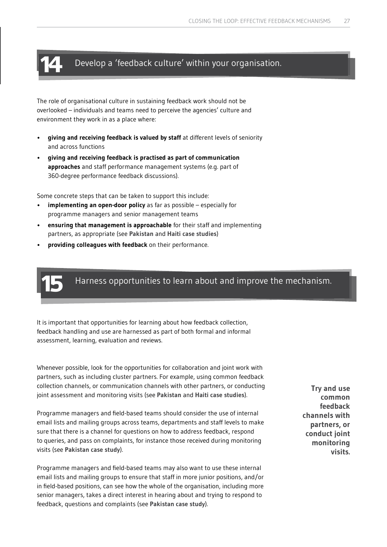### **14** Develop a 'feedback culture' within your organisation.

The role of organisational culture in sustaining feedback work should not be overlooked – individuals and teams need to perceive the agencies' culture and environment they work in as a place where:

- **giving and receiving feedback is valued by staff** at different levels of seniority and across functions
- **giving and receiving feedback is practised as part of communication approaches** and staff performance management systems (e.g. part of 360-degree performance feedback discussions).

Some concrete steps that can be taken to support this include:

- **implementing an open-door policy** as far as possible especially for programme managers and senior management teams
- **ensuring that management is approachable** for their staff and implementing partners, as appropriate (see **Pakistan** and **Haiti case studies**)
- **providing colleagues with feedback** on their performance.



Harness opportunities to learn about and improve the mechanism. **15**

It is important that opportunities for learning about how feedback collection, feedback handling and use are harnessed as part of both formal and informal assessment, learning, evaluation and reviews.

Whenever possible, look for the opportunities for collaboration and joint work with partners, such as including cluster partners. For example, using common feedback collection channels, or communication channels with other partners, or conducting joint assessment and monitoring visits (see **Pakistan** and **[Haiti case studies](www.alnap.org/ourwork/feedback-loop)**).

Programme managers and field-based teams should consider the use of internal email lists and mailing groups across teams, departments and staff levels to make sure that there is a channel for questions on how to address feedback, respond to queries, and pass on complaints, for instance those received during monitoring visits (see **[Pakistan case study](www.alnap.org/ourwork/feedback-loop)**).

Programme managers and field-based teams may also want to use these internal email lists and mailing groups to ensure that staff in more junior positions, and/or in field-based positions, can see how the whole of the organisation, including more senior managers, takes a direct interest in hearing about and trying to respond to feedback, questions and complaints (see **[Pakistan case study](www.alnap.org/ourwork/feedback-loop)**).

**Try and use common feedback channels with partners, or conduct joint monitoring visits.**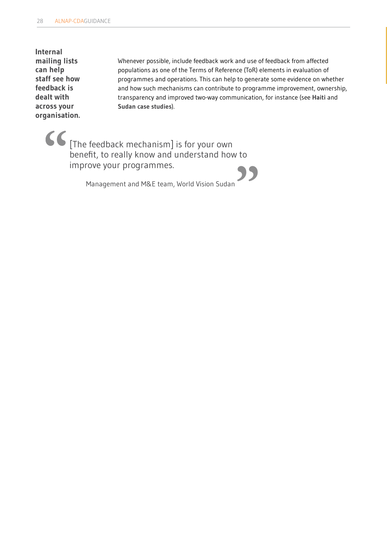**Internal mailing lists can help staff see how feedback is dealt with across your organisation.**

Whenever possible, include feedback work and use of feedback from affected populations as one of the Terms of Reference (ToR) elements in evaluation of programmes and operations. This can help to generate some evidence on whether and how such mechanisms can contribute to programme improvement, ownership, transparency and improved two-way communication, for instance (see **[Haiti](www.alnap.org/ourwork/feedback-loop)** and **[Sudan case studies](www.alnap.org/ourwork/feedback-loop)**).

[The feedback mechanism] is for your own benefit, to really know and understand how to **"** improve your programmes.<br>
Management and M&E team, World Vision Sudan<br> **Management and M&E team, World Vision Sudan** 

Management and M&E team, World Vision Sudan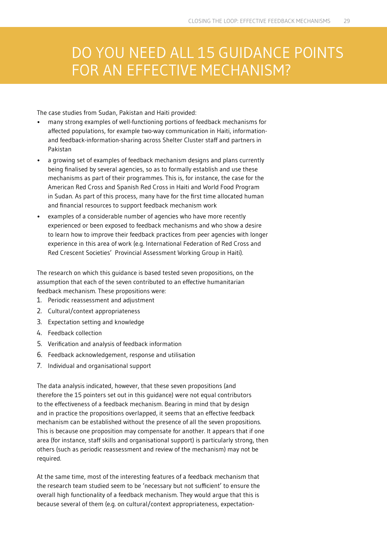### DO YOU NEED ALL 15 GUIDANCE POINTS FOR AN EFFECTIVE MECHANISM?

The case studies from Sudan, Pakistan and Haiti provided:

- many strong examples of well-functioning portions of feedback mechanisms for affected populations, for example two-way communication in Haiti, informationand feedback-information-sharing across Shelter Cluster staff and partners in Pakistan
- a growing set of examples of feedback mechanism designs and plans currently being finalised by several agencies, so as to formally establish and use these mechanisms as part of their programmes. This is, for instance, the case for the American Red Cross and Spanish Red Cross in Haiti and World Food Program in Sudan. As part of this process, many have for the first time allocated human and financial resources to support feedback mechanism work
- examples of a considerable number of agencies who have more recently experienced or been exposed to feedback mechanisms and who show a desire to learn how to improve their feedback practices from peer agencies with longer experience in this area of work (e.g. International Federation of Red Cross and Red Crescent Societies' Provincial Assessment Working Group in Haiti).

The research on which this guidance is based tested seven propositions, on the assumption that each of the seven contributed to an effective humanitarian feedback mechanism. These propositions were:

- 1. Periodic reassessment and adjustment
- 2. Cultural/context appropriateness
- 3. Expectation setting and knowledge
- 4. Feedback collection
- 5. Verification and analysis of feedback information
- 6. Feedback acknowledgement, response and utilisation
- 7. Individual and organisational support

The data analysis indicated, however, that these seven propositions (and therefore the 15 pointers set out in this guidance) were not equal contributors to the effectiveness of a feedback mechanism. Bearing in mind that by design and in practice the propositions overlapped, it seems that an effective feedback mechanism can be established without the presence of all the seven propositions. This is because one proposition may compensate for another. It appears that if one area (for instance, staff skills and organisational support) is particularly strong, then others (such as periodic reassessment and review of the mechanism) may not be required.

At the same time, most of the interesting features of a feedback mechanism that the research team studied seem to be 'necessary but not sufficient' to ensure the overall high functionality of a feedback mechanism. They would argue that this is because several of them (e.g. on cultural/context appropriateness, expectation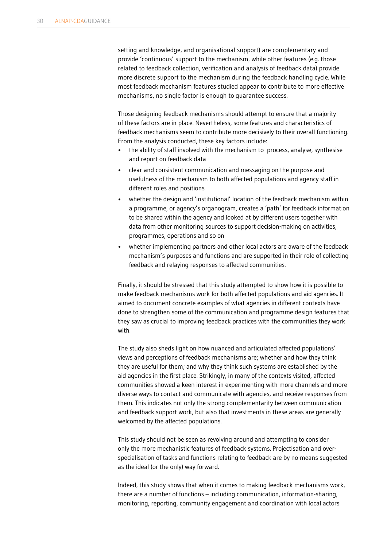setting and knowledge, and organisational support) are complementary and provide 'continuous' support to the mechanism, while other features (e.g. those related to feedback collection, verification and analysis of feedback data) provide more discrete support to the mechanism during the feedback handling cycle. While most feedback mechanism features studied appear to contribute to more effective mechanisms, no single factor is enough to guarantee success.

Those designing feedback mechanisms should attempt to ensure that a majority of these factors are in place. Nevertheless, some features and characteristics of feedback mechanisms seem to contribute more decisively to their overall functioning. From the analysis conducted, these key factors include:

- the ability of staff involved with the mechanism to process, analyse, synthesise and report on feedback data
- clear and consistent communication and messaging on the purpose and usefulness of the mechanism to both affected populations and agency staff in different roles and positions
- whether the design and 'institutional' location of the feedback mechanism within a programme, or agency's organogram, creates a 'path' for feedback information to be shared within the agency and looked at by different users together with data from other monitoring sources to support decision-making on activities, programmes, operations and so on
- whether implementing partners and other local actors are aware of the feedback mechanism's purposes and functions and are supported in their role of collecting feedback and relaying responses to affected communities.

Finally, it should be stressed that this study attempted to show how it is possible to make feedback mechanisms work for both affected populations and aid agencies. It aimed to document concrete examples of what agencies in different contexts have done to strengthen some of the communication and programme design features that they saw as crucial to improving feedback practices with the communities they work with.

The study also sheds light on how nuanced and articulated affected populations' views and perceptions of feedback mechanisms are; whether and how they think they are useful for them; and why they think such systems are established by the aid agencies in the first place. Strikingly, in many of the contexts visited, affected communities showed a keen interest in experimenting with more channels and more diverse ways to contact and communicate with agencies, and receive responses from them. This indicates not only the strong complementarity between communication and feedback support work, but also that investments in these areas are generally welcomed by the affected populations.

This study should not be seen as revolving around and attempting to consider only the more mechanistic features of feedback systems. Projectisation and overspecialisation of tasks and functions relating to feedback are by no means suggested as the ideal (or the only) way forward.

Indeed, this study shows that when it comes to making feedback mechanisms work, there are a number of functions – including communication, information-sharing, monitoring, reporting, community engagement and coordination with local actors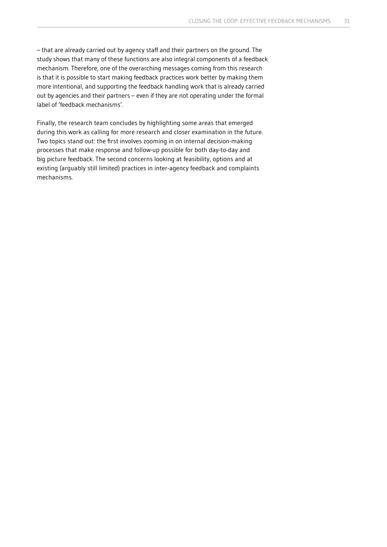– that are already carried out by agency staff and their partners on the ground. The study shows that many of these functions are also integral components of a feedback mechanism. Therefore, one of the overarching messages coming from this research is that it is possible to start making feedback practices work better by making them more intentional, and supporting the feedback handling work that is already carried out by agencies and their partners – even if they are not operating under the formal label of 'feedback mechanisms'.

Finally, the research team concludes by highlighting some areas that emerged during this work as calling for more research and closer examination in the future. Two topics stand out: the first involves zooming in on internal decision-making processes that make response and follow-up possible for both day-to-day and big picture feedback. The second concerns looking at feasibility, options and at existing (arguably still limited) practices in inter-agency feedback and complaints mechanisms.